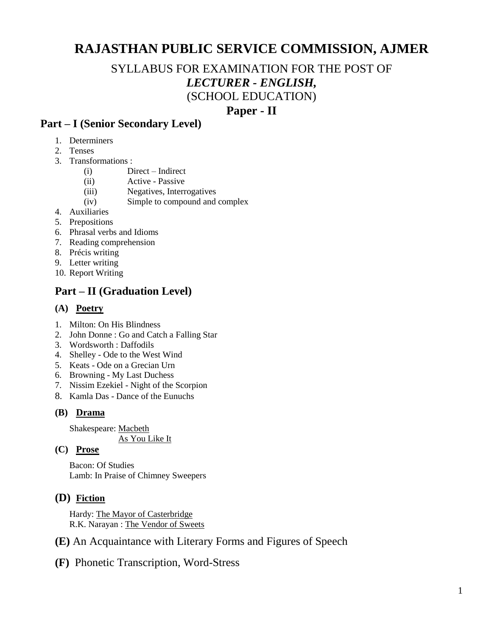# **RAJASTHAN PUBLIC SERVICE COMMISSION, AJMER**

# SYLLABUS FOR EXAMINATION FOR THE POST OF *LECTURER - ENGLISH,*  (SCHOOL EDUCATION) **Paper - II**

### **Part – I (Senior Secondary Level)**

- 1. Determiners
- 2. Tenses
- 3. Transformations :
	- (i) Direct Indirect
	- (ii) Active Passive
	- (iii) Negatives, Interrogatives
	- (iv) Simple to compound and complex
- 4. Auxiliaries
- 5. Prepositions
- 6. Phrasal verbs and Idioms
- 7. Reading comprehension
- 8. Précis writing
- 9. Letter writing
- 10. Report Writing

# **Part – II (Graduation Level)**

#### **(A) Poetry**

- 1. Milton: On His Blindness
- 2. John Donne : Go and Catch a Falling Star
- 3. Wordsworth : Daffodils
- 4. Shelley Ode to the West Wind
- 5. Keats Ode on a Grecian Urn
- 6. Browning My Last Duchess
- 7. Nissim Ezekiel Night of the Scorpion
- 8. Kamla Das Dance of the Eunuchs

#### **(B) Drama**

Shakespeare: Macbeth As You Like It

#### **(C) Prose**

Bacon: Of Studies Lamb: In Praise of Chimney Sweepers

### **(D) Fiction**

Hardy: The Mayor of Casterbridge R.K. Narayan : The Vendor of Sweets

- **(E)** An Acquaintance with Literary Forms and Figures of Speech
- **(F)** Phonetic Transcription, Word-Stress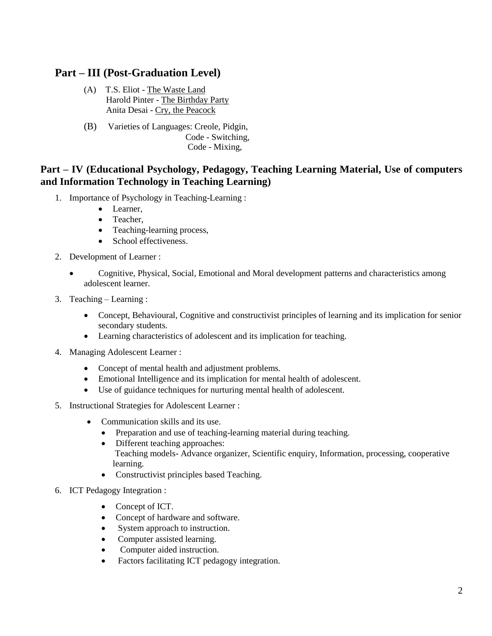## **Part – III (Post-Graduation Level)**

- (A) T.S. Eliot The Waste Land Harold Pinter - The Birthday Party Anita Desai - Cry, the Peacock
- (B) Varieties of Languages: Creole, Pidgin, Code - Switching, Code - Mixing,

### **Part – IV (Educational Psychology, Pedagogy, Teaching Learning Material, Use of computers and Information Technology in Teaching Learning)**

- 1. Importance of Psychology in Teaching-Learning :
	- Learner,
	- Teacher,
	- Teaching-learning process,
	- School effectiveness.
- 2. Development of Learner :
	- Cognitive, Physical, Social, Emotional and Moral development patterns and characteristics among adolescent learner.
- 3. Teaching Learning :
	- Concept, Behavioural, Cognitive and constructivist principles of learning and its implication for senior secondary students.
	- Learning characteristics of adolescent and its implication for teaching.
- 4. Managing Adolescent Learner :
	- Concept of mental health and adjustment problems.
	- Emotional Intelligence and its implication for mental health of adolescent.
	- Use of guidance techniques for nurturing mental health of adolescent.
- 5. Instructional Strategies for Adolescent Learner : Î
	- Communication skills and its use.
		- Preparation and use of teaching-learning material during teaching.
		- Different teaching approaches: Teaching models- Advance organizer, Scientific enquiry, Information, processing, cooperative learning.
		- Constructivist principles based Teaching.
- 6. ICT Pedagogy Integration :
	- Concept of ICT.
	- Concept of hardware and software.
	- System approach to instruction.
	- Computer assisted learning.
	- Computer aided instruction.
	- Factors facilitating ICT pedagogy integration.